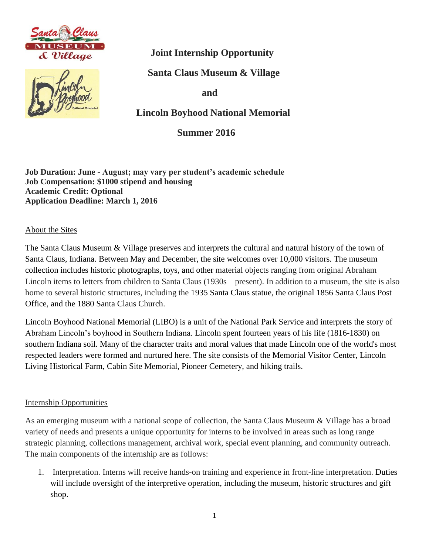



 **Joint Internship Opportunity**

 **Santa Claus Museum & Village**

 **and** 

 **Lincoln Boyhood National Memorial**

 **Summer 2016** 

**Job Duration: June - August; may vary per student's academic schedule Job Compensation: \$1000 stipend and housing Academic Credit: Optional Application Deadline: March 1, 2016**

About the Sites

The Santa Claus Museum & Village preserves and interprets the cultural and natural history of the town of Santa Claus, Indiana. Between May and December, the site welcomes over 10,000 visitors. The museum collection includes historic photographs, toys, and other material objects ranging from original Abraham Lincoln items to letters from children to Santa Claus (1930s – present). In addition to a museum, the site is also home to several historic structures, including the 1935 Santa Claus statue, the original 1856 Santa Claus Post Office, and the 1880 Santa Claus Church.

Lincoln Boyhood National Memorial (LIBO) is a unit of the National Park Service and interprets the story of Abraham Lincoln's boyhood in Southern Indiana. Lincoln spent fourteen years of his life (1816-1830) on southern Indiana soil. Many of the character traits and moral values that made Lincoln one of the world's most respected leaders were formed and nurtured here. The site consists of the Memorial Visitor Center, Lincoln Living Historical Farm, Cabin Site Memorial, Pioneer Cemetery, and hiking trails.

## Internship Opportunities

As an emerging museum with a national scope of collection, the Santa Claus Museum & Village has a broad variety of needs and presents a unique opportunity for interns to be involved in areas such as long range strategic planning, collections management, archival work, special event planning, and community outreach. The main components of the internship are as follows:

1. Interpretation. Interns will receive hands-on training and experience in front-line interpretation. Duties will include oversight of the interpretive operation, including the museum, historic structures and gift shop.